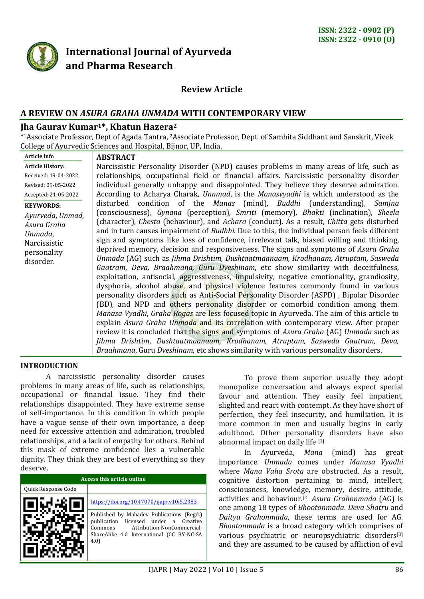

# **International Journal of Ayurveda and Pharma Research**

## **Review Article**

## **A REVIEW ON** *ASURA GRAHA UNMADA* **WITH CONTEMPORARY VIEW**

### **Jha Gaurav Kumar1\*, Khatun Hazera<sup>2</sup>**

\* <sup>1</sup>Associate Professor, Dept of Agada Tantra, <sup>2</sup>Associate Professor, Dept. of Samhita Siddhant and Sanskrit, Vivek College of Ayurvedic Sciences and Hospital, Bijnor, UP, India.

| Article info                                                                                               | <b>ABSTRACT</b>                                                                                                                                                                                                                                                                                                                                                                                                                                                                                                                                                                                                                                                                                                                                                                                                                                                                                                                                                                                                                                                                                                                                                                                                                                                                                                                                                                                                                                                                                                                                                            |
|------------------------------------------------------------------------------------------------------------|----------------------------------------------------------------------------------------------------------------------------------------------------------------------------------------------------------------------------------------------------------------------------------------------------------------------------------------------------------------------------------------------------------------------------------------------------------------------------------------------------------------------------------------------------------------------------------------------------------------------------------------------------------------------------------------------------------------------------------------------------------------------------------------------------------------------------------------------------------------------------------------------------------------------------------------------------------------------------------------------------------------------------------------------------------------------------------------------------------------------------------------------------------------------------------------------------------------------------------------------------------------------------------------------------------------------------------------------------------------------------------------------------------------------------------------------------------------------------------------------------------------------------------------------------------------------------|
| <b>Article History:</b>                                                                                    | Narcissistic Personality Disorder (NPD) causes problems in many areas of life, such as                                                                                                                                                                                                                                                                                                                                                                                                                                                                                                                                                                                                                                                                                                                                                                                                                                                                                                                                                                                                                                                                                                                                                                                                                                                                                                                                                                                                                                                                                     |
| Received: 19-04-2022                                                                                       | relationships, occupational field or financial affairs. Narcissistic personality disorder                                                                                                                                                                                                                                                                                                                                                                                                                                                                                                                                                                                                                                                                                                                                                                                                                                                                                                                                                                                                                                                                                                                                                                                                                                                                                                                                                                                                                                                                                  |
| Revised: 09-05-2022                                                                                        | individual generally unhappy and disappointed. They believe they deserve admiration.                                                                                                                                                                                                                                                                                                                                                                                                                                                                                                                                                                                                                                                                                                                                                                                                                                                                                                                                                                                                                                                                                                                                                                                                                                                                                                                                                                                                                                                                                       |
| Accepted: 21-05-2022                                                                                       | According to Acharya Charak, Unnmad, is the Manasvyadhi is which understood as the                                                                                                                                                                                                                                                                                                                                                                                                                                                                                                                                                                                                                                                                                                                                                                                                                                                                                                                                                                                                                                                                                                                                                                                                                                                                                                                                                                                                                                                                                         |
| <b>KEYWORDS:</b><br>Ayurveda, Unmad,<br>Asura Graha<br>Unmada,<br>Narcissistic<br>personality<br>disorder. | disturbed condition of the Manas (mind), Buddhi (understanding), Samjna<br>(consciousness), Gynana (perception), Smriti (memory), Bhakti (inclination), Sheela<br>(character), <i>Chesta</i> (behaviour), and <i>Achara</i> (conduct). As a result, <i>Chitta</i> gets disturbed<br>and in turn causes impairment of <i>Budhhi</i> . Due to this, the individual person feels different<br>sign and symptoms like loss of confidence, irrelevant talk, biased willing and thinking,<br>deprived memory, decision and responsiveness. The signs and symptoms of Asura Graha<br>Unmada (AG) such as Jihma Drishtim, Dushtaatmaanaam, Krodhanam, Atruptam, Sasweda<br>Gaatram, Deva, Braahmana, Guru Dveshinam, etc show similarity with deceitfulness,<br>exploitation, antisocial, aggressiveness, impulsivity, negative emotionality, grandiosity,<br>dysphoria, alcohol abuse, and physical violence features commonly found in various<br>personality disorders such as Anti-Social Personality Disorder (ASPD), Bipolar Disorder<br>(BD), and NPD and others personality disorder or comorbid condition among them.<br>Manasa Vyadhi, Graha Rogas are less focused topic in Ayurveda. The aim of this article to<br>explain Asura Graha Unmada and its correlation with contemporary view. After proper<br>review it is concluded that the signs and symptoms of Asura Graha (AG) Unmada such as<br>Jihma Drishtim, Dushtaatmaanaam, Krodhanam, Atruptam, Sasweda Gaatram, Deva,<br>Braahmana, Guru Dveshinam, etc shows similarity with various personality disorders. |
|                                                                                                            |                                                                                                                                                                                                                                                                                                                                                                                                                                                                                                                                                                                                                                                                                                                                                                                                                                                                                                                                                                                                                                                                                                                                                                                                                                                                                                                                                                                                                                                                                                                                                                            |

#### **INTRODUCTION**

A narcissistic personality disorder causes problems in many areas of life, such as relationships, occupational or financial issue. They find their relationships disappointed. They have extreme sense of self-importance. In this condition in which people have a vague sense of their own importance, a deep need for excessive attention and admiration, troubled relationships, and a lack of empathy for others. Behind this mask of extreme confidence lies a vulnerable dignity. They think they are best of everything so they deserve.

| <b>Access this article online</b> |                                                                                                                                                                                 |  |
|-----------------------------------|---------------------------------------------------------------------------------------------------------------------------------------------------------------------------------|--|
| Quick Response Code               |                                                                                                                                                                                 |  |
|                                   | https://doi.org/10.47070/ijapr.v10i5.2383                                                                                                                                       |  |
|                                   | Published by Mahadev Publications (Regd.)<br>publication licensed under a Creative<br>Attribution-NonCommercial-<br>Commons<br>ShareAlike 4.0 International (CC BY-NC-SA<br>4.0 |  |

To prove them superior usually they adopt monopolize conversation and always expect special favour and attention. They easily feel impatient, slighted and react with contempt. As they have short of perfection, they feel insecurity, and humiliation. It is more common in men and usually begins in early adulthood. Other personality disorders have also abnormal impact on daily life [1]

In Ayurveda, *Mana* (mind) has great importance. *Unmada* comes under *Manasa Vyadhi* where *Mana Vaha Srota* are obstructed. As a result, cognitive distortion pertaining to mind, intellect, consciousness, knowledge, memory, desire, attitude, activities and behaviour.[2] *Asura Grahonmada* (AG) is one among 18 types of *Bhootonmada*. *Deva Shatru* and *Daitya Grahonmada*, these terms are used for AG. *Bhootonmada* is a broad category which comprises of various psychiatric or neuropsychiatric disorders<sup>[3]</sup> and they are assumed to be caused by affliction of evil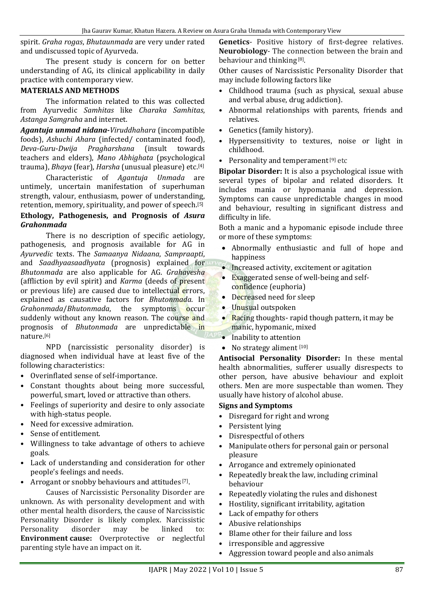spirit. *Graha rogas*, *Bhutaunmada* are very under rated and undiscussed topic of Ayurveda.

The present study is concern for on better understanding of AG, its clinical applicability in daily practice with contemporary view.

### **MATERIALS AND METHODS**

The information related to this was collected from Ayurvedic *Samhitas* like *Charaka Samhitas*, *Astanga Samgraha* and internet.

*Agantuja unmad nidana***-***Viruddhahara* (incompatible foods), *Ashuchi Ahara* (infected/ contaminated food), *Deva*-*Guru*-*Dwija Pragharshana* (insult towards teachers and elders), *Mano Abhighata* (psychological trauma), *Bhaya* (fear), *Harsha* (unusual pleasure) etc.[4]

Characteristic of *Agantuja Unmada* are untimely, uncertain manifestation of superhuman strength, valour, enthusiasm, power of understanding, retention, memory, spirituality, and power of speech.[5]

#### **Ethology, Pathogenesis, and Prognosis of** *Asura Grahonmada*

There is no description of specific aetiology, pathogenesis, and prognosis available for AG in *Ayurvedic* texts. The *Samaanya Nidaana*, *Sampraapti*, and *Saadhyaasaadhyata* (prognosis) explained for *Bhutonmada* are also applicable for AG. *Grahavesha* (affliction by evil spirit) and *Karma* (deeds of present or previous life) are caused due to intellectual errors, explained as causative factors for *Bhutonmada*. In *Grahonmada/Bhutonmada*, the symptoms occur suddenly without any known reason. The course and prognosis of *Bhutonmada* are unpredictable in nature.[6]

NPD (narcissistic personality disorder) is diagnosed when individual have at least five of the following characteristics:

- Overinflated sense of self-importance.
- Constant thoughts about being more successful, powerful, smart, loved or attractive than others.
- Feelings of superiority and desire to only associate with high-status people.
- Need for excessive admiration.
- Sense of entitlement.
- Willingness to take advantage of others to achieve goals.
- Lack of understanding and consideration for other people's feelings and needs.
- Arrogant or snobby behaviours and attitudes [7].

Causes of Narcissistic Personality Disorder are unknown. As with personality development and with other mental health disorders, the cause of Narcissistic Personality Disorder is likely complex. Narcissistic Personality disorder may be linked to: **Environment cause:** Overprotective or neglectful parenting style have an impact on it.

**Genetics**- Positive history of first-degree relatives. **Neurobiology**- The connection between the brain and behaviour and thinking<sup>[8]</sup>.

Other causes of Narcissistic Personality Disorder that may include following factors like

- Childhood trauma (such as physical, sexual abuse and verbal abuse, drug addiction).
- Abnormal relationships with parents, friends and relatives.
- Genetics (family history).
- Hypersensitivity to textures, noise or light in childhood.
- Personality and temperament<sup>[9]</sup> etc

**Bipolar Disorder:** It is also a psychological issue with several types of bipolar and related disorders. It includes mania or hypomania and depression. Symptoms can cause unpredictable changes in mood and behaviour, resulting in significant distress and difficulty in life.

Both a manic and a hypomanic episode include three or more of these symptoms:

- Abnormally enthusiastic and full of hope and happiness
- **Increased activity, excitement or agitation**
- Exaggerated sense of well-being and selfconfidence (euphoria)
- Decreased need for sleep
- Unusual outspoken
- Racing thoughts-rapid though pattern, it may be manic, hypomanic, mixed
- Inability to attention
- $\bullet$  No strategy aliment  $[10]$

**Antisocial Personality Disorder:** In these mental health abnormalities, sufferer usually disrespects to other person, have abusive behaviour and exploit others. Men are more suspectable than women. They usually have history of alcohol abuse.

#### **Signs and Symptoms**

- Disregard for right and wrong
- Persistent lying
- Disrespectful of others
- Manipulate others for personal gain or personal pleasure
- Arrogance and extremely opinionated
- Repeatedly break the law, including criminal behaviour
- Repeatedly violating the rules and dishonest
- Hostility, significant irritability, agitation
- Lack of empathy for others
- Abusive relationships
- Blame other for their failure and loss
- irresponsible and aggressive
- Aggression toward people and also animals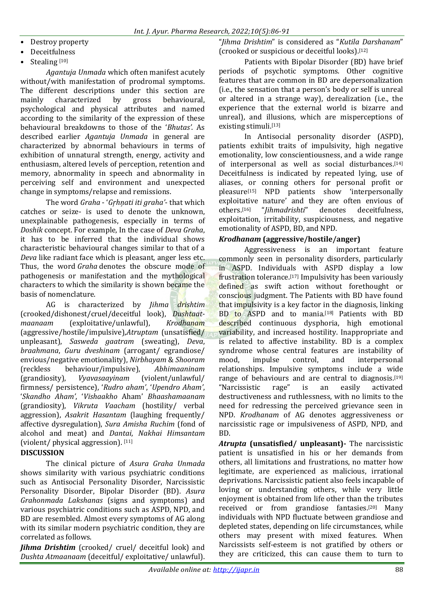• Destroy property

- **Deceitfulness**
- Stealing [10]

*Agantuja Unmada* which often manifest acutely without/with manifestation of prodromal symptoms. The different descriptions under this section are mainly characterized by gross behavioural, psychological and physical attributes and named according to the similarity of the expression of these behavioural breakdowns to those of the '*Bhutas'*. As described earlier *Agantuja Unmada* in general are characterized by abnormal behaviours in terms of exhibition of unnatural strength, energy, activity and enthusiasm, altered levels of perception, retention and memory, abnormality in speech and abnormality in perceiving self and environment and unexpected change in symptoms/relapse and remissions.

The word *Graha* - '*Gŗhņati iti graha'*- that which catches or seize- is used to denote the unknown, unexplainable pathogenesis, especially in terms of *Doshik* concept. For example, In the case of *Deva Graha*, it has to be inferred that the individual shows characteristic behavioural changes similar to that of a *Deva* like radiant face which is pleasant, anger less etc. Thus, the word *Graha* denotes the obscure mode of pathogenesis or manifestation and the mythological characters to which the similarity is shown became the basis of nomenclature.

AG is characterized by *Jihma drishtim* (crooked/dishonest/cruel/deceitful look), *Dushtaatmaanaam* (exploitative/unlawful), *Krodhanam* (aggressive/hostile/impulsive),*Atruptam* (unsatisfied/ unpleasant), *Sasweda gaatram* (sweating), *Deva*, *braahmana*, *Guru dveshinam* (arrogant/ egrandiose/ envious/negative emotionality), *Nirbhayam* & *Shooram* (reckless behaviour/impulsive), *Abhimaaninam* (grandiosity), *Vyavasaayinam* (violent/unlawful/ firmness/ persistence), '*Rudro aham'*, '*Upendro Aham'*, '*Skandho Aham'*, '*Vishaakho* Aham' *Bhaashamaanam* (grandiosity), *Vikruta Vaacham* (hostility/ verbal aggression), *Asakrit Hasantam* (laughing frequently/ affective dysregulation), *Sura Amisha Ruchim* (fond of alcohol and meat) and *Dantai*, *Nakhai Himsantam* (violent/ physical aggression). [11]

## **DISCUSSION**

The clinical picture of *Asura Graha Unmada* shows similarity with various psychiatric conditions such as Antisocial Personality Disorder, Narcissistic Personality Disorder, Bipolar Disorder (BD). *Asura Grahonmada Lakshanas* (signs and symptoms) and various psychiatric conditions such as ASPD, NPD, and BD are resembled. Almost every symptoms of AG along with its similar modern psychiatric condition, they are correlated as follows.

*Jihma Drishtim* (crooked/ cruel/ deceitful look) and *Dushta Atmaanaam* (deceitful/ exploitative/ unlawful).

"*Jihma Drishtim*" is considered as "*Kutila Darshanam*" (crooked or suspicious or deceitful looks).[12]

Patients with Bipolar Disorder (BD) have brief periods of psychotic symptoms. Other cognitive features that are common in BD are depersonalization (i.e., the sensation that a person's body or self is unreal or altered in a strange way), derealization (i.e., the experience that the external world is bizarre and unreal), and illusions, which are misperceptions of existing stimuli.[13]

In Antisocial personality disorder (ASPD), patients exhibit traits of impulsivity, high negative emotionality, low conscientiousness, and a wide range of interpersonal as well as social disturbances.[14] Deceitfulness is indicated by repeated lying, use of aliases, or conning others for personal profit or pleasure[15] NPD patients show 'interpersonally exploitative nature' and they are often envious of others.[16] "*Jihmadrishti*" denotes deceitfulness, exploitation, irritability, suspiciousness, and negative emotionality of ASPD, BD, and NPD.

## *Krodhanam* **(aggressive/hostile/anger)**

Aggressiveness is an important feature commonly seen in personality disorders, particularly in ASPD. Individuals with ASPD display a low frustration tolerance.[17] Impulsivity has been variously defined as swift action without forethought or conscious judgment. The Patients with BD have found that impulsivity is a key factor in the diagnosis, linking BD to ASPD and to mania.<sup>[18]</sup> Patients with BD described continuous dysphoria, high emotional variability, and increased hostility. Inappropriate and is related to affective instability. BD is a complex syndrome whose central features are instability of mood, impulse control, and interpersonal relationships. Impulsive symptoms include a wide range of behaviours and are central to diagnosis.<sup>[19]</sup> "Narcissistic rage" is an easily activated destructiveness and ruthlessness, with no limits to the need for redressing the perceived grievance seen in NPD. *Krodhanam* of AG denotes aggressiveness or narcissistic rage or impulsiveness of ASPD, NPD, and BD.

*Atrupta* **(unsatisfied/ unpleasant)-** The narcissistic patient is unsatisfied in his or her demands from others, all limitations and frustrations, no matter how legitimate, are experienced as malicious, irrational deprivations. Narcissistic patient also feels incapable of loving or understanding others, while very little enjoyment is obtained from life other than the tributes received or from grandiose fantasies.[20] Many individuals with NPD fluctuate between grandiose and depleted states, depending on life circumstances, while others may present with mixed features. When Narcissists self-esteem is not gratified by others or they are criticized, this can cause them to turn to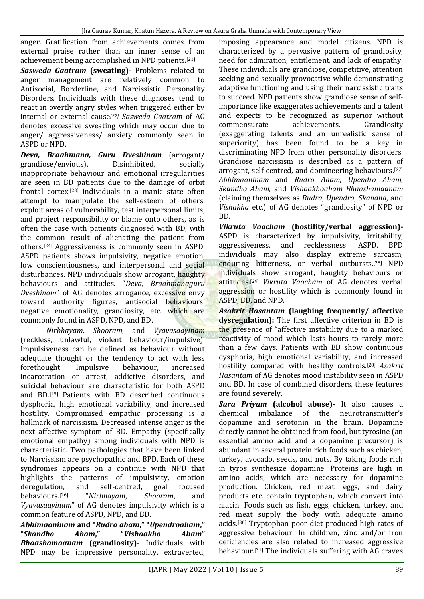anger. Gratification from achievements comes from external praise rather than an inner sense of an achievement being accomplished in NPD patients.[21]

*Sasweda Gaatram* **(sweating)-** Problems related to anger management are relatively common to Antisocial, Borderline, and Narcissistic Personality Disorders. Individuals with these diagnoses tend to react in overtly angry styles when triggered either by internal or external cause*[22] Sasweda Gaatram* of AG denotes excessive sweating which may occur due to anger/ aggressiveness/ anxiety commonly seen in ASPD or NPD.

*Deva, Braahmana, Guru Dveshinam* (arrogant/ grandiose/envious). Disinhibited, socially inappropriate behaviour and emotional irregularities are seen in BD patients due to the damage of orbit frontal cortex.[23] Individuals in a manic state often attempt to manipulate the self-esteem of others, exploit areas of vulnerability, test interpersonal limits, and project responsibility or blame onto others, as is often the case with patients diagnosed with BD, with the common result of alienating the patient from others.[24] Aggressiveness is commonly seen in ASPD. ASPD patients shows impulsivity, negative emotion, low conscientiousness, and interpersonal and social disturbances. NPD individuals show arrogant, haughty behaviours and attitudes. "*Deva, Braahmanaguru Dveshinam*" of AG denotes arrogance, excessive envy toward authority figures, antisocial behaviours, negative emotionality, grandiosity, etc. which are commonly found in ASPD, NPD, and BD.

*Nirbhayam, Shooram*, and *Vyavasaayinam* (reckless, unlawful, violent behaviour/impulsive). Impulsiveness can be defined as behaviour without adequate thought or the tendency to act with less forethought. Impulsive behaviour, increased incarceration or arrest, addictive disorders, and suicidal behaviour are characteristic for both ASPD and BD.[25] Patients with BD described continuous dysphoria, high emotional variability, and increased hostility. Compromised empathic processing is a hallmark of narcissism. Decreased intense anger is the next affective symptom of BD. Empathy (specifically emotional empathy) among individuals with NPD is characteristic. Two pathologies that have been linked to Narcissism are psychopathic and BPD. Each of these syndromes appears on a continue with NPD that highlights the patterns of impulsivity, emotion deregulation, and self-centred, goal focused behaviours.[26] "*Nirbhayam*, *Shooram*, and *Vyavasaayinam*" of AG denotes impulsivity which is a common feature of ASPD, NPD, and BD.

*Abhimaaninam* **and "***Rudro aham***," "***Upendroaham***," "***Skandho Aham***," "***Vishaakho Aham***"** *Bhaashamaanam* **(grandiosity)-** Individuals with NPD may be impressive personality, extraverted, imposing appearance and model citizens. NPD is characterized by a pervasive pattern of grandiosity, need for admiration, entitlement, and lack of empathy. These individuals are grandiose, competitive, attention seeking and sexually provocative while demonstrating adaptive functioning and using their narcissistic traits to succeed. NPD patients show grandiose sense of selfimportance like exaggerates achievements and a talent and expects to be recognized as superior without commensurate achievements. Grandiosity (exaggerating talents and an unrealistic sense of superiority) has been found to be a key in discriminating NPD from other personality disorders. Grandiose narcissism is described as a pattern of arrogant, self-centred, and domineering behaviours.[27] *Abhimaaninam* and *Rudro Aham*, *Upendro Aham*, *Skandho Aham*, and *Vishaakhoaham Bhaashamaanam* (claiming themselves as *Rudra*, *Upendra*, *Skandha*, and *Vishakha* etc.) of AG denotes "grandiosity" of NPD or BD.

*Vikruta Vaacham* **(hostility/verbal aggression)-** ASPD is characterized by impulsivity, irritability, aggressiveness, and recklessness. ASPD. BPD individuals may also display extreme sarcasm, enduring bitterness, or verbal outbursts.<sup>[28]</sup> NPD individuals show arrogant, haughty behaviours or attitudes.[29] *Vikruta Vaacham* of AG denotes verbal aggression or hostility which is commonly found in ASPD, BD, and NPD.

*Asakrit Hasantam* **(laughing frequently/ affective dysregulation):** The first affective criterion in BD is the presence of "affective instability due to a marked reactivity of mood which lasts hours to rarely more than a few days. Patients with BD show continuous dysphoria, high emotional variability, and increased hostility compared with healthy controls.[28] *Asakrit Hasantam* of AG denotes mood instability seen in ASPD and BD. In case of combined disorders, these features are found severely.

*Sura Priyam* **(alcohol abuse)-** It also causes a chemical imbalance of the neurotransmitter's dopamine and serotonin in the brain. Dopamine directly cannot be obtained from food, but tyrosine (an essential amino acid and a dopamine precursor) is abundant in several protein rich foods such as chicken, turkey, avocado, seeds, and nuts. By taking foods rich in tyros synthesize dopamine. Proteins are high in amino acids, which are necessary for dopamine production. Chicken, red meat, eggs, and dairy products etc. contain tryptophan, which convert into niacin. Foods such as fish, eggs, chicken, turkey, and red meat supply the body with adequate amino acids.[30] Tryptophan poor diet produced high rates of aggressive behaviour. In children, zinc and/or iron deficiencies are also related to increased aggressive behaviour.[31] The individuals suffering with AG craves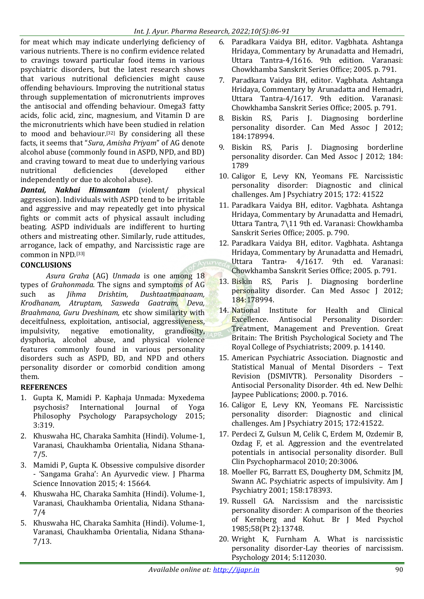for meat which may indicate underlying deficiency of various nutrients. There is no confirm evidence related to cravings toward particular food items in various psychiatric disorders, but the latest research shows that various nutritional deficiencies might cause offending behaviours. Improving the nutritional status through supplementation of micronutrients improves the antisocial and offending behaviour. Omega3 fatty acids, folic acid, zinc, magnesium, and Vitamin D are the micronutrients which have been studied in relation to mood and behaviour.[32] By considering all these facts, it seems that "*Sura*, *Amisha Priyam*" of AG denote alcohol abuse (commonly found in ASPD, NPD, and BD) and craving toward to meat due to underlying various nutritional deficiencies (developed either independently or due to alcohol abuse).

*Dantai, Nakhai Himsantam* (violent/ physical aggression). Individuals with ASPD tend to be irritable and aggressive and may repeatedly get into physical fights or commit acts of physical assault including beating. ASPD individuals are indifferent to hurting others and mistreating other. Similarly, rude attitudes, arrogance, lack of empathy, and Narcissistic rage are common in NPD.[33]

## **CONCLUSIONS**

*Asura Graha* (AG) *Unmada* is one among 18 types of *Grahonmada*. The signs and symptoms of AG such as *Jihma Drishtim, Dushtaatmaanaam, Krodhanam, Atruptam, Sasweda Gaatram, Deva, Braahmana, Guru Dveshinam,* etc show similarity with deceitfulness, exploitation, antisocial, aggressiveness, impulsivity, negative emotionality, grandiosity, dysphoria, alcohol abuse, and physical violence features commonly found in various personality disorders such as ASPD, BD, and NPD and others personality disorder or comorbid condition among them.

# **REFERENCES**

- 1. Gupta K, Mamidi P. Kaphaja Unmada: Myxedema psychosis? International Journal of Yoga Philosophy Psychology Parapsychology 2015; 3:319.
- 2. Khuswaha HC, Charaka Samhita (Hindi). Volume-1, Varanasi, Chaukhamba Orientalia, Nidana Sthana-7/5.
- 3. Mamidi P, Gupta K. Obsessive compulsive disorder - 'Sangama Graha': An Ayurvedic view. J Pharma Science Innovation 2015; 4: 15664.
- 4. Khuswaha HC, Charaka Samhita (Hindi). Volume-1, Varanasi, Chaukhamba Orientalia, Nidana Sthana-7/4
- 5. Khuswaha HC, Charaka Samhita (Hindi). Volume-1, Varanasi, Chaukhamba Orientalia, Nidana Sthana-7/13.
- 6. Paradkara Vaidya BH, editor. Vagbhata. Ashtanga Hridaya, Commentary by Arunadatta and Hemadri, Uttara Tantra-4/1616. 9th edition. Varanasi: Chowkhamba Sanskrit Series Office; 2005. p. 791.
- 7. Paradkara Vaidya BH, editor. Vagbhata. Ashtanga Hridaya, Commentary by Arunadatta and Hemadri, Uttara Tantra-4/1617. 9th edition. Varanasi: Chowkhamba Sanskrit Series Office; 2005. p. 791.
- 8. Biskin RS, Paris J. Diagnosing borderline personality disorder. Can Med Assoc J 2012; 184:178994.
- 9. Biskin RS, Paris J. Diagnosing borderline personality disorder. Can Med Assoc J 2012; 184: 1789
- 10. Caligor E, Levy KN, Yeomans FE. Narcissistic personality disorder: Diagnostic and clinical challenges. Am J Psychiatry 2015; 172: 41522
- 11. Paradkara Vaidya BH, editor. Vagbhata. Ashtanga Hridaya, Commentary by Arunadatta and Hemadri, Uttara Tantra, 7\11 9th ed. Varanasi: Chowkhamba Sanskrit Series Office; 2005. p. 790.
- 12. Paradkara Vaidya BH, editor. Vagbhata. Ashtanga Hridaya, Commentary by Arunadatta and Hemadri, Uttara Tantra- 4/1617. 9th ed. Varanasi: Chowkhamba Sanskrit Series Office; 2005. p. 791.
- 13. Biskin RS, Paris J. Diagnosing borderline personality disorder. Can Med Assoc J 2012; 184:178994.
- 14. National Institute for Health and Clinical Excellence. Antisocial Personality Disorder: Treatment, Management and Prevention. Great Britain: The British Psychological Society and The Royal College of Psychiatrists; 2009. p. 14140.
- 15. American Psychiatric Association. Diagnostic and Statistical Manual of Mental Disorders – Text Revision (DSMIVTR). Personality Disorders – Antisocial Personality Disorder. 4th ed. New Delhi: Jaypee Publications; 2000. p. 7016.
- 16. Caligor E, Levy KN, Yeomans FE. Narcissistic personality disorder: Diagnostic and clinical challenges. Am J Psychiatry 2015; 172:41522.
- 17. Perdeci Z, Gulsun M, Celik C, Erdem M, Ozdemir B, Ozdag F, et al. Aggression and the eventrelated potentials in antisocial personality disorder. Bull Clin Psychopharmacol 2010; 20:3006.
- 18. Moeller FG, Barratt ES, Dougherty DM, Schmitz JM, Swann AC. Psychiatric aspects of impulsivity. Am J Psychiatry 2001; 158:178393.
- 19. Russell GA. Narcissism and the narcissistic personality disorder: A comparison of the theories of Kernberg and Kohut. Br J Med Psychol 1985;58(Pt 2):13748.
- 20. Wright K, Furnham A. What is narcissistic personality disorder-Lay theories of narcissism. Psychology 2014; 5:112030.